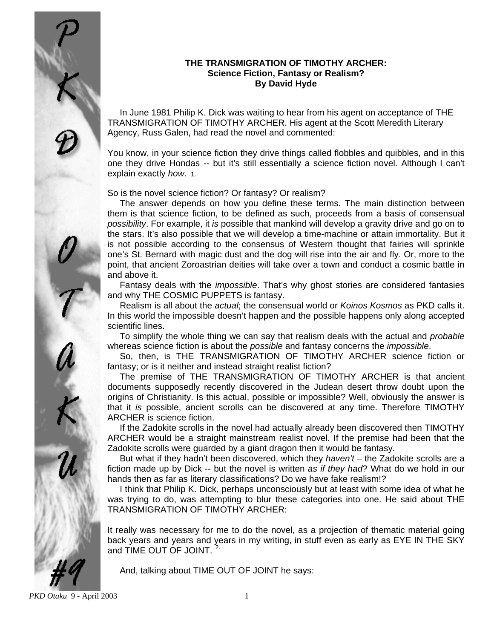#### **THE TRANSMIGRATION OF TIMOTHY ARCHER: Science Fiction, Fantasy or Realism? By David Hyde**

 In June 1981 Philip K. Dick was waiting to hear from his agent on acceptance of THE TRANSMIGRATION OF TIMOTHY ARCHER. His agent at the Scott Meredith Literary Agency, Russ Galen, had read the novel and commented:

You know, in your science fiction they drive things called flobbles and quibbles, and in this one they drive Hondas -- but it's still essentially a science fiction novel. Although I can't explain exactly *how*. 1.

So is the novel science fiction? Or fantasy? Or realism?

 The answer depends on how you define these terms. The main distinction between them is that science fiction, to be defined as such, proceeds from a basis of consensual *possibility*. For example, it *is* possible that mankind will develop a gravity drive and go on to the stars. It's also possible that we will develop a time-machine or attain immortality. But it is not possible according to the consensus of Western thought that fairies will sprinkle one's St. Bernard with magic dust and the dog will rise into the air and fly. Or, more to the point, that ancient Zoroastrian deities will take over a town and conduct a cosmic battle in and above it.

 Fantasy deals with the *impossible*. That's why ghost stories are considered fantasies and why THE COSMIC PUPPETS is fantasy.

 Realism is all about the *actual*; the consensual world or *Koinos Kosmos* as PKD calls it. In this world the impossible doesn't happen and the possible happens only along accepted scientific lines.

 To simplify the whole thing we can say that realism deals with the actual and *probable* whereas science fiction is about the *possible* and fantasy concerns the *impossible*.

 So, then, is THE TRANSMIGRATION OF TIMOTHY ARCHER science fiction or fantasy; or is it neither and instead straight realist fiction?

The premise of THE TRANSMIGRATION OF TIMOTHY ARCHER is that ancient documents supposedly recently discovered in the Judean desert throw doubt upon the origins of Christianity. Is this actual, possible or impossible? Well, obviously the answer is that it *is* possible, ancient scrolls can be discovered at any time. Therefore TIMOTHY ARCHER is science fiction.

 If the Zadokite scrolls in the novel had actually already been discovered then TIMOTHY ARCHER would be a straight mainstream realist novel. If the premise had been that the Zadokite scrolls were guarded by a giant dragon then it would be fantasy.

 But what if they hadn't been discovered, which they *haven't* – the Zadokite scrolls are a fiction made up by Dick -- but the novel is written *as if they had*? What do we hold in our hands then as far as literary classifications? Do we have fake realism!?

 I think that Philip K. Dick, perhaps unconsciously but at least with some idea of what he was trying to do, was attempting to blur these categories into one. He said about THE TRANSMIGRATION OF TIMOTHY ARCHER:

It really was necessary for me to do the novel, as a projection of thematic material going back years and years and years in my writing, in stuff even as early as EYE IN THE SKY and TIME OUT OF JOINT.

And, talking about TIME OUT OF JOINT he says:

*PKD Otaku* 9 - April 2003 1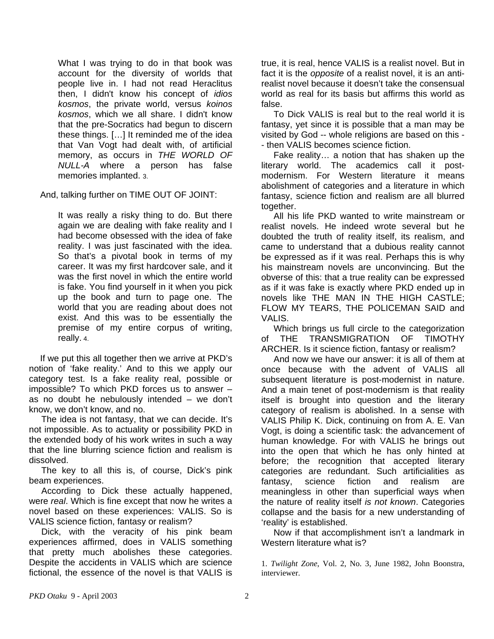What I was trying to do in that book was account for the diversity of worlds that people live in. I had not read Heraclitus then, I didn't know his concept of *idios kosmos*, the private world, versus *koinos kosmos*, which we all share. I didn't know that the pre-Socratics had begun to discern these things. […] It reminded me of the idea that Van Vogt had dealt with, of artificial memory, as occurs in *THE WORLD OF NULL-A* where a person has false memories implanted. 3.

And, talking further on TIME OUT OF JOINT:

It was really a risky thing to do. But there again we are dealing with fake reality and I had become obsessed with the idea of fake reality. I was just fascinated with the idea. So that's a pivotal book in terms of my career. It was my first hardcover sale, and it was the first novel in which the entire world is fake. You find yourself in it when you pick up the book and turn to page one. The world that you are reading about does not exist. And this was to be essentially the premise of my entire corpus of writing, really. 4.

 If we put this all together then we arrive at PKD's notion of 'fake reality.' And to this we apply our category test. Is a fake reality real, possible or impossible? To which PKD forces us to answer – as no doubt he nebulously intended – we don't know, we don't know, and no.

 The idea is not fantasy, that we can decide. It's not impossible. As to actuality or possibility PKD in the extended body of his work writes in such a way that the line blurring science fiction and realism is dissolved.

 The key to all this is, of course, Dick's pink beam experiences.

 According to Dick these actually happened, were *real*. Which is fine except that now he writes a novel based on these experiences: VALIS. So is VALIS science fiction, fantasy or realism?

 Dick, with the veracity of his pink beam experiences affirmed, does in VALIS something that pretty much abolishes these categories. Despite the accidents in VALIS which are science fictional, the essence of the novel is that VALIS is

true, it is real, hence VALIS is a realist novel. But in fact it is the *opposite* of a realist novel, it is an antirealist novel because it doesn't take the consensual world as real for its basis but affirms this world as false.

 To Dick VALIS is real but to the real world it is fantasy, yet since it is possible that a man may be visited by God -- whole religions are based on this - - then VALIS becomes science fiction.

 Fake reality… a notion that has shaken up the literary world. The academics call it postmodernism. For Western literature it means abolishment of categories and a literature in which fantasy, science fiction and realism are all blurred together.

 All his life PKD wanted to write mainstream or realist novels. He indeed wrote several but he doubted the truth of reality itself, its realism, and came to understand that a dubious reality cannot be expressed as if it was real. Perhaps this is why his mainstream novels are unconvincing. But the obverse of this: that a true reality can be expressed as if it was fake is exactly where PKD ended up in novels like THE MAN IN THE HIGH CASTLE; FLOW MY TEARS, THE POLICEMAN SAID and VALIS.

 Which brings us full circle to the categorization of THE TRANSMIGRATION OF TIMOTHY ARCHER. Is it science fiction, fantasy or realism?

 And now we have our answer: it is all of them at once because with the advent of VALIS all subsequent literature is post-modernist in nature. And a main tenet of post-modernism is that reality itself is brought into question and the literary category of realism is abolished. In a sense with VALIS Philip K. Dick, continuing on from A. E. Van Vogt, is doing a scientific task: the advancement of human knowledge. For with VALIS he brings out into the open that which he has only hinted at before; the recognition that accepted literary categories are redundant. Such artificialities as fantasy, science fiction and realism are meaningless in other than superficial ways when the nature of reality itself *is not known*. Categories collapse and the basis for a new understanding of 'reality' is established.

 Now if that accomplishment isn't a landmark in Western literature what is?

1. *Twilight Zone*, Vol. 2, No. 3, June 1982, John Boonstra, interviewer.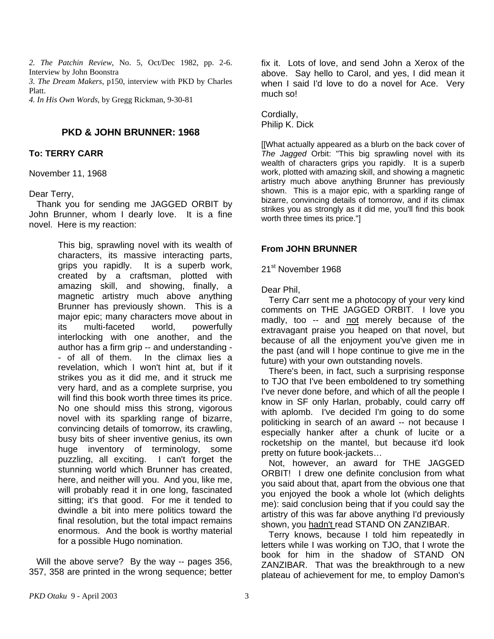*2. The Patchin Review*, No. 5, Oct/Dec 1982, pp. 2-6. Interview by John Boonstra

*3. The Dream Makers*, p150, interview with PKD by Charles Platt.

*4. In His Own Words*, by Gregg Rickman, 9-30-81

# **PKD & JOHN BRUNNER: 1968**

## **To: TERRY CARR**

November 11, 1968

# Dear Terry,

 Thank you for sending me JAGGED ORBIT by John Brunner, whom I dearly love. It is a fine novel. Here is my reaction:

> This big, sprawling novel with its wealth of characters, its massive interacting parts, grips you rapidly. It is a superb work, created by a craftsman, plotted with amazing skill, and showing, finally, a magnetic artistry much above anything Brunner has previously shown. This is a major epic; many characters move about in its multi-faceted world, powerfully interlocking with one another, and the author has a firm grip -- and understanding - - of all of them. In the climax lies a revelation, which I won't hint at, but if it strikes you as it did me, and it struck me very hard, and as a complete surprise, you will find this book worth three times its price. No one should miss this strong, vigorous novel with its sparkling range of bizarre, convincing details of tomorrow, its crawling, busy bits of sheer inventive genius, its own huge inventory of terminology, some puzzling, all exciting. I can't forget the stunning world which Brunner has created, here, and neither will you. And you, like me, will probably read it in one long, fascinated sitting; it's that good. For me it tended to dwindle a bit into mere politics toward the final resolution, but the total impact remains enormous. And the book is worthy material for a possible Hugo nomination.

Will the above serve? By the way -- pages 356, 357, 358 are printed in the wrong sequence; better

fix it. Lots of love, and send John a Xerox of the above. Say hello to Carol, and yes, I did mean it when I said I'd love to do a novel for Ace. Very much so!

Cordially, Philip K. Dick

[[What actually appeared as a blurb on the back cover of *The Jagged* Orbit: "This big sprawling novel with its wealth of characters grips you rapidly. It is a superb work, plotted with amazing skill, and showing a magnetic artistry much above anything Brunner has previously shown. This is a major epic, with a sparkling range of bizarre, convincing details of tomorrow, and if its climax strikes you as strongly as it did me, you'll find this book worth three times its price."]

### **From JOHN BRUNNER**

21<sup>st</sup> November 1968

Dear Phil,

 Terry Carr sent me a photocopy of your very kind comments on THE JAGGED ORBIT. I love you madly, too -- and not merely because of the extravagant praise you heaped on that novel, but because of all the enjoyment you've given me in the past (and will I hope continue to give me in the future) with your own outstanding novels.

 There's been, in fact, such a surprising response to TJO that I've been emboldened to try something I've never done before, and which of all the people I know in SF only Harlan, probably, could carry off with aplomb. I've decided I'm going to do some politicking in search of an award -- not because I especially hanker after a chunk of lucite or a rocketship on the mantel, but because it'd look pretty on future book-jackets…

 Not, however, an award for THE JAGGED ORBIT! I drew one definite conclusion from what you said about that, apart from the obvious one that you enjoyed the book a whole lot (which delights me): said conclusion being that if you could say the artistry of this was far above anything I'd previously shown, you hadn't read STAND ON ZANZIBAR.

 Terry knows, because I told him repeatedly in letters while I was working on TJO, that I wrote the book for him in the shadow of STAND ON ZANZIBAR. That was the breakthrough to a new plateau of achievement for me, to employ Damon's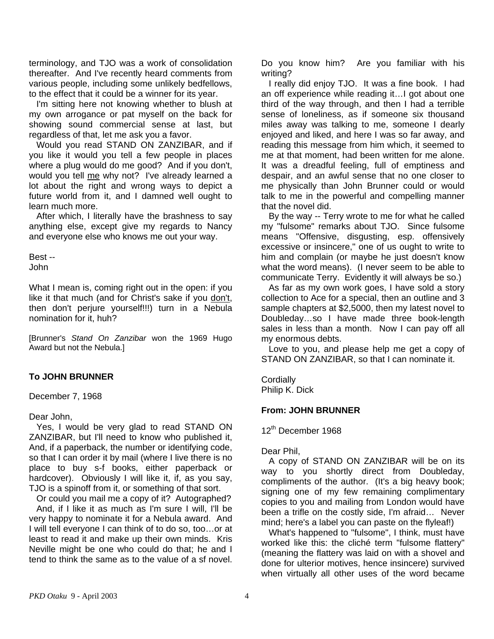terminology, and TJO was a work of consolidation thereafter. And I've recently heard comments from various people, including some unlikely bedfellows, to the effect that it could be a winner for its year.

 I'm sitting here not knowing whether to blush at my own arrogance or pat myself on the back for showing sound commercial sense at last, but regardless of that, let me ask you a favor.

 Would you read STAND ON ZANZIBAR, and if you like it would you tell a few people in places where a plug would do me good? And if you don't, would you tell me why not? I've already learned a lot about the right and wrong ways to depict a future world from it, and I damned well ought to learn much more.

 After which, I literally have the brashness to say anything else, except give my regards to Nancy and everyone else who knows me out your way.

Best -- John

What I mean is, coming right out in the open: if you like it that much (and for Christ's sake if you don't, then don't perjure yourself!!!) turn in a Nebula nomination for it, huh?

[Brunner's *Stand On Zanzibar* won the 1969 Hugo Award but not the Nebula.]

### **To JOHN BRUNNER**

December 7, 1968

Dear John,

 Yes, I would be very glad to read STAND ON ZANZIBAR, but I'll need to know who published it, And, if a paperback, the number or identifying code, so that I can order it by mail (where I live there is no place to buy s-f books, either paperback or hardcover). Obviously I will like it, if, as you say, TJO is a spinoff from it, or something of that sort.

Or could you mail me a copy of it? Autographed?

 And, if I like it as much as I'm sure I will, I'll be very happy to nominate it for a Nebula award. And I will tell everyone I can think of to do so, too…or at least to read it and make up their own minds. Kris Neville might be one who could do that; he and I tend to think the same as to the value of a sf novel.

Do you know him? Are you familiar with his writing?

 I really did enjoy TJO. It was a fine book. I had an off experience while reading it…I got about one third of the way through, and then I had a terrible sense of loneliness, as if someone six thousand miles away was talking to me, someone I dearly enjoyed and liked, and here I was so far away, and reading this message from him which, it seemed to me at that moment, had been written for me alone. It was a dreadful feeling, full of emptiness and despair, and an awful sense that no one closer to me physically than John Brunner could or would talk to me in the powerful and compelling manner that the novel did.

 By the way -- Terry wrote to me for what he called my "fulsome" remarks about TJO. Since fulsome means "Offensive, disgusting, esp. offensively excessive or insincere," one of us ought to write to him and complain (or maybe he just doesn't know what the word means). (I never seem to be able to communicate Terry. Evidently it will always be so.)

 As far as my own work goes, I have sold a story collection to Ace for a special, then an outline and 3 sample chapters at \$2,5000, then my latest novel to Doubleday…so I have made three book-length sales in less than a month. Now I can pay off all my enormous debts.

 Love to you, and please help me get a copy of STAND ON ZANZIBAR, so that I can nominate it.

**Cordially** Philip K. Dick

#### **From: JOHN BRUNNER**

12<sup>th</sup> December 1968

### Dear Phil,

 A copy of STAND ON ZANZIBAR will be on its way to you shortly direct from Doubleday, compliments of the author. (It's a big heavy book; signing one of my few remaining complimentary copies to you and mailing from London would have been a trifle on the costly side, I'm afraid… Never mind; here's a label you can paste on the flyleaf!)

 What's happened to "fulsome", I think, must have worked like this: the cliché term "fulsome flattery" (meaning the flattery was laid on with a shovel and done for ulterior motives, hence insincere) survived when virtually all other uses of the word became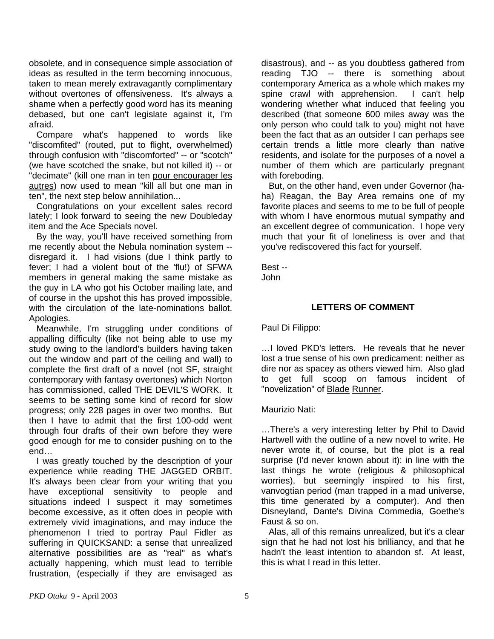obsolete, and in consequence simple association of ideas as resulted in the term becoming innocuous, taken to mean merely extravagantly complimentary without overtones of offensiveness. It's always a shame when a perfectly good word has its meaning debased, but one can't legislate against it, I'm afraid.

 Compare what's happened to words like "discomfited" (routed, put to flight, overwhelmed) through confusion with "discomforted" -- or "scotch" (we have scotched the snake, but not killed it) -- or "decimate" (kill one man in ten pour encourager les autres) now used to mean "kill all but one man in ten", the next step below annihilation...

 Congratulations on your excellent sales record lately; I look forward to seeing the new Doubleday item and the Ace Specials novel.

 By the way, you'll have received something from me recently about the Nebula nomination system - disregard it. I had visions (due I think partly to fever; I had a violent bout of the 'flu!) of SFWA members in general making the same mistake as the guy in LA who got his October mailing late, and of course in the upshot this has proved impossible, with the circulation of the late-nominations ballot. Apologies.

 Meanwhile, I'm struggling under conditions of appalling difficulty (like not being able to use my study owing to the landlord's builders having taken out the window and part of the ceiling and wall) to complete the first draft of a novel (not SF, straight contemporary with fantasy overtones) which Norton has commissioned, called THE DEVIL'S WORK. It seems to be setting some kind of record for slow progress; only 228 pages in over two months. But then I have to admit that the first 100-odd went through four drafts of their own before they were good enough for me to consider pushing on to the end…

 I was greatly touched by the description of your experience while reading THE JAGGED ORBIT. It's always been clear from your writing that you have exceptional sensitivity to people and situations indeed I suspect it may sometimes become excessive, as it often does in people with extremely vivid imaginations, and may induce the phenomenon I tried to portray Paul Fidler as suffering in QUICKSAND: a sense that unrealized alternative possibilities are as "real" as what's actually happening, which must lead to terrible frustration, (especially if they are envisaged as

disastrous), and -- as you doubtless gathered from reading TJO -- there is something about contemporary America as a whole which makes my spine crawl with apprehension. I can't help wondering whether what induced that feeling you described (that someone 600 miles away was the only person who could talk to you) might not have been the fact that as an outsider I can perhaps see certain trends a little more clearly than native residents, and isolate for the purposes of a novel a number of them which are particularly pregnant with foreboding.

 But, on the other hand, even under Governor (haha) Reagan, the Bay Area remains one of my favorite places and seems to me to be full of people with whom I have enormous mutual sympathy and an excellent degree of communication. I hope very much that your fit of loneliness is over and that you've rediscovered this fact for yourself.

Best --

John

# **LETTERS OF COMMENT**

Paul Di Filippo:

…I loved PKD's letters. He reveals that he never lost a true sense of his own predicament: neither as dire nor as spacey as others viewed him. Also glad to get full scoop on famous incident of "novelization" of Blade Runner.

Maurizio Nati:

…There's a very interesting letter by Phil to David Hartwell with the outline of a new novel to write. He never wrote it, of course, but the plot is a real surprise (I'd never known about it): in line with the last things he wrote (religious & philosophical worries), but seemingly inspired to his first, vanvogtian period (man trapped in a mad universe, this time generated by a computer). And then Disneyland, Dante's Divina Commedia, Goethe's Faust & so on.

 Alas, all of this remains unrealized, but it's a clear sign that he had not lost his brilliancy, and that he hadn't the least intention to abandon sf. At least, this is what I read in this letter.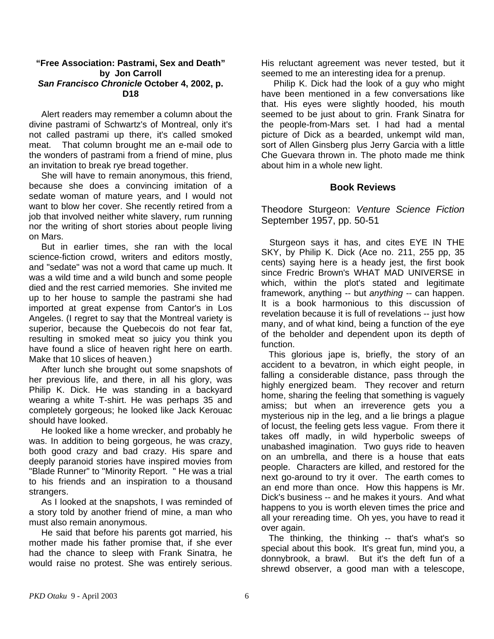#### **"Free Association: Pastrami, Sex and Death" by Jon Carroll**  *San Francisco Chronicle* **October 4, 2002, p. D18**

 Alert readers may remember a column about the divine pastrami of Schwartz's of Montreal, only it's not called pastrami up there, it's called smoked meat. That column brought me an e-mail ode to the wonders of pastrami from a friend of mine, plus an invitation to break rye bread together.

 She will have to remain anonymous, this friend, because she does a convincing imitation of a sedate woman of mature years, and I would not want to blow her cover. She recently retired from a job that involved neither white slavery, rum running nor the writing of short stories about people living on Mars.

 But in earlier times, she ran with the local science-fiction crowd, writers and editors mostly, and "sedate" was not a word that came up much. It was a wild time and a wild bunch and some people died and the rest carried memories. She invited me up to her house to sample the pastrami she had imported at great expense from Cantor's in Los Angeles. (I regret to say that the Montreal variety is superior, because the Quebecois do not fear fat, resulting in smoked meat so juicy you think you have found a slice of heaven right here on earth. Make that 10 slices of heaven.)

 After lunch she brought out some snapshots of her previous life, and there, in all his glory, was Philip K. Dick. He was standing in a backyard wearing a white T-shirt. He was perhaps 35 and completely gorgeous; he looked like Jack Kerouac should have looked.

 He looked like a home wrecker, and probably he was. In addition to being gorgeous, he was crazy, both good crazy and bad crazy. His spare and deeply paranoid stories have inspired movies from "Blade Runner" to "Minority Report. " He was a trial to his friends and an inspiration to a thousand strangers.

 As I looked at the snapshots, I was reminded of a story told by another friend of mine, a man who must also remain anonymous.

 He said that before his parents got married, his mother made his father promise that, if she ever had the chance to sleep with Frank Sinatra, he would raise no protest. She was entirely serious.

His reluctant agreement was never tested, but it seemed to me an interesting idea for a prenup.

 Philip K. Dick had the look of a guy who might have been mentioned in a few conversations like that. His eyes were slightly hooded, his mouth seemed to be just about to grin. Frank Sinatra for the people-from-Mars set. I had had a mental picture of Dick as a bearded, unkempt wild man, sort of Allen Ginsberg plus Jerry Garcia with a little Che Guevara thrown in. The photo made me think about him in a whole new light.

### **Book Reviews**

Theodore Sturgeon: *Venture Science Fiction*  September 1957, pp. 50-51

 Sturgeon says it has, and cites EYE IN THE SKY, by Philip K. Dick (Ace no. 211, 255 pp, 35 cents) saying here is a heady jest, the first book since Fredric Brown's WHAT MAD UNIVERSE in which, within the plot's stated and legitimate framework, anything -- but *anything* -- can happen. It is a book harmonious to this discussion of revelation because it is full of revelations -- just how many, and of what kind, being a function of the eye of the beholder and dependent upon its depth of function.

 This glorious jape is, briefly, the story of an accident to a bevatron, in which eight people, in falling a considerable distance, pass through the highly energized beam. They recover and return home, sharing the feeling that something is vaguely amiss; but when an irreverence gets you a mysterious nip in the leg, and a lie brings a plague of locust, the feeling gets less vague. From there it takes off madly, in wild hyperbolic sweeps of unabashed imagination. Two guys ride to heaven on an umbrella, and there is a house that eats people. Characters are killed, and restored for the next go-around to try it over. The earth comes to an end more than once. How this happens is Mr. Dick's business -- and he makes it yours. And what happens to you is worth eleven times the price and all your rereading time. Oh yes, you have to read it over again.

 The thinking, the thinking -- that's what's so special about this book. It's great fun, mind you, a donnybrook, a brawl. But it's the deft fun of a shrewd observer, a good man with a telescope,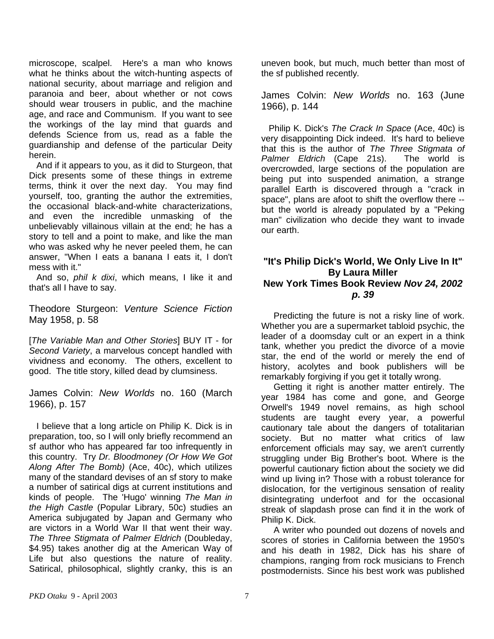microscope, scalpel. Here's a man who knows what he thinks about the witch-hunting aspects of national security, about marriage and religion and paranoia and beer, about whether or not cows should wear trousers in public, and the machine age, and race and Communism. If you want to see the workings of the lay mind that guards and defends Science from us, read as a fable the guardianship and defense of the particular Deity herein.

 And if it appears to you, as it did to Sturgeon, that Dick presents some of these things in extreme terms, think it over the next day. You may find yourself, too, granting the author the extremities, the occasional black-and-white characterizations, and even the incredible unmasking of the unbelievably villainous villain at the end; he has a story to tell and a point to make, and like the man who was asked why he never peeled them, he can answer, "When I eats a banana I eats it, I don't mess with it."

 And so, *phil k dixi*, which means, I like it and that's all I have to say.

Theodore Sturgeon: *Venture Science Fiction*  May 1958, p. 58

[*The Variable Man and Other Stories*] BUY IT - for *Second Variety*, a marvelous concept handled with vividness and economy. The others, excellent to good. The title story, killed dead by clumsiness.

James Colvin: *New Worlds* no. 160 (March 1966), p. 157

 I believe that a long article on Philip K. Dick is in preparation, too, so I will only briefly recommend an sf author who has appeared far too infrequently in this country. Try *Dr. Bloodmoney (Or How We Got Along After The Bomb)* (Ace, 40c), which utilizes many of the standard devises of an sf story to make a number of satirical digs at current institutions and kinds of people. The 'Hugo' winning *The Man in the High Castle* (Popular Library, 50c) studies an America subjugated by Japan and Germany who are victors in a World War II that went their way. *The Three Stigmata of Palmer Eldrich* (Doubleday, \$4.95) takes another dig at the American Way of Life but also questions the nature of reality. Satirical, philosophical, slightly cranky, this is an

uneven book, but much, much better than most of the sf published recently*.* 

James Colvin: *New Worlds* no. 163 (June 1966), p. 144

 Philip K. Dick's *The Crack In Space* (Ace, 40c) is very disappointing Dick indeed. It's hard to believe that this is the author of *The Three Stigmata of Palmer Eldrich* (Cape 21s). The world is overcrowded, large sections of the population are being put into suspended animation, a strange parallel Earth is discovered through a "crack in space", plans are afoot to shift the overflow there - but the world is already populated by a "Peking man" civilization who decide they want to invade our earth.

### **"It's Philip Dick's World, We Only Live In It" By Laura Miller New York Times Book Review** *Nov 24, 2002 p. 39*

 Predicting the future is not a risky line of work. Whether you are a supermarket tabloid psychic, the leader of a doomsday cult or an expert in a think tank, whether you predict the divorce of a movie star, the end of the world or merely the end of history, acolytes and book publishers will be remarkably forgiving if you get it totally wrong.

 Getting it right is another matter entirely. The year 1984 has come and gone, and George Orwell's 1949 novel remains, as high school students are taught every year, a powerful cautionary tale about the dangers of totalitarian society. But no matter what critics of law enforcement officials may say, we aren't currently struggling under Big Brother's boot. Where is the powerful cautionary fiction about the society we did wind up living in? Those with a robust tolerance for dislocation, for the vertiginous sensation of reality disintegrating underfoot and for the occasional streak of slapdash prose can find it in the work of Philip K. Dick.

 A writer who pounded out dozens of novels and scores of stories in California between the 1950's and his death in 1982, Dick has his share of champions, ranging from rock musicians to French postmodernists. Since his best work was published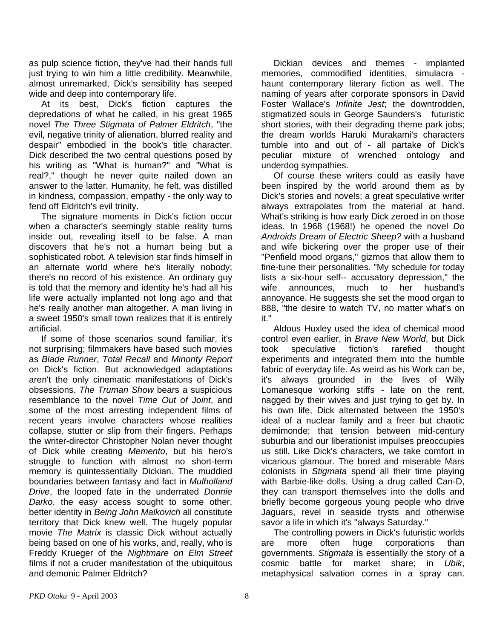as pulp science fiction, they've had their hands full just trying to win him a little credibility. Meanwhile, almost unremarked, Dick's sensibility has seeped wide and deep into contemporary life.

 At its best, Dick's fiction captures the depredations of what he called, in his great 1965 novel *The Three Stigmata of Palmer Eldritch*, "the evil, negative trinity of alienation, blurred reality and despair" embodied in the book's title character. Dick described the two central questions posed by his writing as "What is human?" and "What is real?," though he never quite nailed down an answer to the latter. Humanity, he felt, was distilled in kindness, compassion, empathy - the only way to fend off Eldritch's evil trinity.

 The signature moments in Dick's fiction occur when a character's seemingly stable reality turns inside out, revealing itself to be false. A man discovers that he's not a human being but a sophisticated robot. A television star finds himself in an alternate world where he's literally nobody; there's no record of his existence. An ordinary guy is told that the memory and identity he's had all his life were actually implanted not long ago and that he's really another man altogether. A man living in a sweet 1950's small town realizes that it is entirely artificial.

 If some of those scenarios sound familiar, it's not surprising; filmmakers have based such movies as *Blade Runner*, *Total Recall* and *Minority Report* on Dick's fiction. But acknowledged adaptations aren't the only cinematic manifestations of Dick's obsessions. *The Truman Show* bears a suspicious resemblance to the novel *Time Out of Joint*, and some of the most arresting independent films of recent years involve characters whose realities collapse, stutter or slip from their fingers. Perhaps the writer-director Christopher Nolan never thought of Dick while creating *Memento*, but his hero's struggle to function with almost no short-term memory is quintessentially Dickian. The muddied boundaries between fantasy and fact in *Mulholland Drive*, the looped fate in the underrated *Donnie Darko*, the easy access sought to some other, better identity in *Being John Malkovich* all constitute territory that Dick knew well. The hugely popular movie *The Matrix* is classic Dick without actually being based on one of his works, and, really, who is Freddy Krueger of the *Nightmare on Elm Street* films if not a cruder manifestation of the ubiquitous and demonic Palmer Eldritch?

 Dickian devices and themes - implanted memories, commodified identities, simulacra haunt contemporary literary fiction as well. The naming of years after corporate sponsors in David Foster Wallace's *Infinite Jest*; the downtrodden, stigmatized souls in George Saunders's futuristic short stories, with their degrading theme park jobs; the dream worlds Haruki Murakami's characters tumble into and out of - all partake of Dick's peculiar mixture of wrenched ontology and underdog sympathies.

 Of course these writers could as easily have been inspired by the world around them as by Dick's stories and novels; a great speculative writer always extrapolates from the material at hand. What's striking is how early Dick zeroed in on those ideas. In 1968 (1968!) he opened the novel *Do Androids Dream of Electric Sheep?* with a husband and wife bickering over the proper use of their "Penfield mood organs," gizmos that allow them to fine-tune their personalities. "My schedule for today lists a six-hour self-- accusatory depression," the wife announces, much to her husband's annoyance. He suggests she set the mood organ to 888, "the desire to watch TV, no matter what's on it."

 Aldous Huxley used the idea of chemical mood control even earlier, in *Brave New World*, but Dick took speculative fiction's rarefied thought experiments and integrated them into the humble fabric of everyday life. As weird as his Work can be, it's always grounded in the lives of Willy Lomanesque working stiffs - late on the rent, nagged by their wives and just trying to get by. In his own life, Dick alternated between the 1950's ideal of a nuclear family and a freer but chaotic demimonde; that tension between mid-century suburbia and our liberationist impulses preoccupies us still. Like Dick's characters, we take comfort in vicarious glamour. The bored and miserable Mars colonists in *Stigmata* spend all their time playing with Barbie-like dolls. Using a drug called Can-D, they can transport themselves into the dolls and briefly become gorgeous young people who drive Jaguars, revel in seaside trysts and otherwise savor a life in which it's "always Saturday."

 The controlling powers in Dick's futuristic worlds are more often huge corporations than governments. *Stigmata* is essentially the story of a cosmic battle for market share; in *Ubik*, metaphysical salvation comes in a spray can.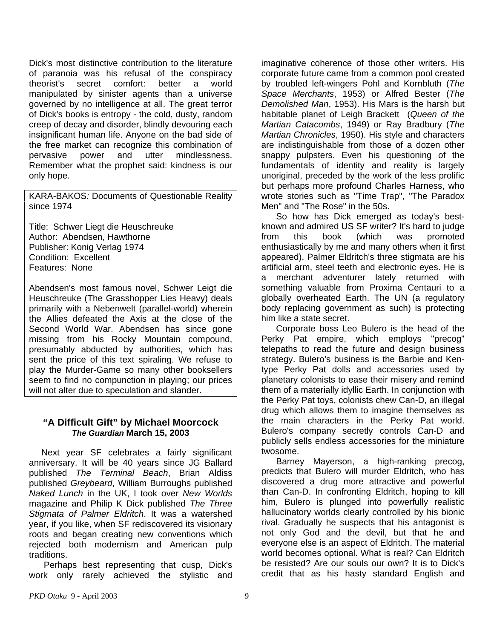Dick's most distinctive contribution to the literature of paranoia was his refusal of the conspiracy theorist's secret comfort: better a world manipulated by sinister agents than a universe governed by no intelligence at all. The great terror of Dick's books is entropy - the cold, dusty, random creep of decay and disorder, blindly devouring each insignificant human life. Anyone on the bad side of the free market can recognize this combination of pervasive power and utter mindlessness. Remember what the prophet said: kindness is our only hope.

KARA-BAKOS*:* Documents of Questionable Reality since 1974

Title: Schwer Liegt die Heuschreuke Author: Abendsen, Hawthorne Publisher: Konig Verlag 1974 Condition: Excellent Features: None

Abendsen's most famous novel, Schwer Leigt die Heuschreuke (The Grasshopper Lies Heavy) deals primarily with a Nebenwelt (parallel-world) wherein the Allies defeated the Axis at the close of the Second World War. Abendsen has since gone missing from his Rocky Mountain compound, presumably abducted by authorities, which has sent the price of this text spiraling. We refuse to play the Murder-Game so many other booksellers seem to find no compunction in playing; our prices will not alter due to speculation and slander.

### **"A Difficult Gift" by Michael Moorcock**  *The Guardian* **March 15, 2003**

 Next year SF celebrates a fairly significant anniversary. It will be 40 years since JG Ballard published *The Terminal Beach*, Brian Aldiss published *Greybeard*, William Burroughs published *Naked Lunch* in the UK, I took over *New Worlds* magazine and Philip K Dick published *The Three Stigmata of Palmer Eldritch*. It was a watershed year, if you like, when SF rediscovered its visionary roots and began creating new conventions which rejected both modernism and American pulp traditions.

 Perhaps best representing that cusp, Dick's work only rarely achieved the stylistic and

imaginative coherence of those other writers. His corporate future came from a common pool created by troubled left-wingers Pohl and Kornbluth (*The Space Merchants*, 1953) or Alfred Bester (*The Demolished Man*, 1953). His Mars is the harsh but habitable planet of Leigh Brackett (*Queen of the Martian Catacombs*, 1949) or Ray Bradbury (*The Martian Chronicles*, 1950). His style and characters are indistinguishable from those of a dozen other snappy pulpsters. Even his questioning of the fundamentals of identity and reality is largely unoriginal, preceded by the work of the less prolific but perhaps more profound Charles Harness, who wrote stories such as "Time Trap", "The Paradox Men" and "The Rose" in the 50s.

 So how has Dick emerged as today's bestknown and admired US SF writer? It's hard to judge from this book (which was promoted enthusiastically by me and many others when it first appeared). Palmer Eldritch's three stigmata are his artificial arm, steel teeth and electronic eyes. He is a merchant adventurer lately returned with something valuable from Proxima Centauri to a globally overheated Earth. The UN (a regulatory body replacing government as such) is protecting him like a state secret.

 Corporate boss Leo Bulero is the head of the Perky Pat empire, which employs "precog" telepaths to read the future and design business strategy. Bulero's business is the Barbie and Kentype Perky Pat dolls and accessories used by planetary colonists to ease their misery and remind them of a materially idyllic Earth. In conjunction with the Perky Pat toys, colonists chew Can-D, an illegal drug which allows them to imagine themselves as the main characters in the Perky Pat world. Bulero's company secretly controls Can-D and publicly sells endless accessories for the miniature twosome.

 Barney Mayerson, a high-ranking precog, predicts that Bulero will murder Eldritch, who has discovered a drug more attractive and powerful than Can-D. In confronting Eldritch, hoping to kill him, Bulero is plunged into powerfully realistic hallucinatory worlds clearly controlled by his bionic rival. Gradually he suspects that his antagonist is not only God and the devil, but that he and everyone else is an aspect of Eldritch. The material world becomes optional. What is real? Can Eldritch be resisted? Are our souls our own? It is to Dick's credit that as his hasty standard English and